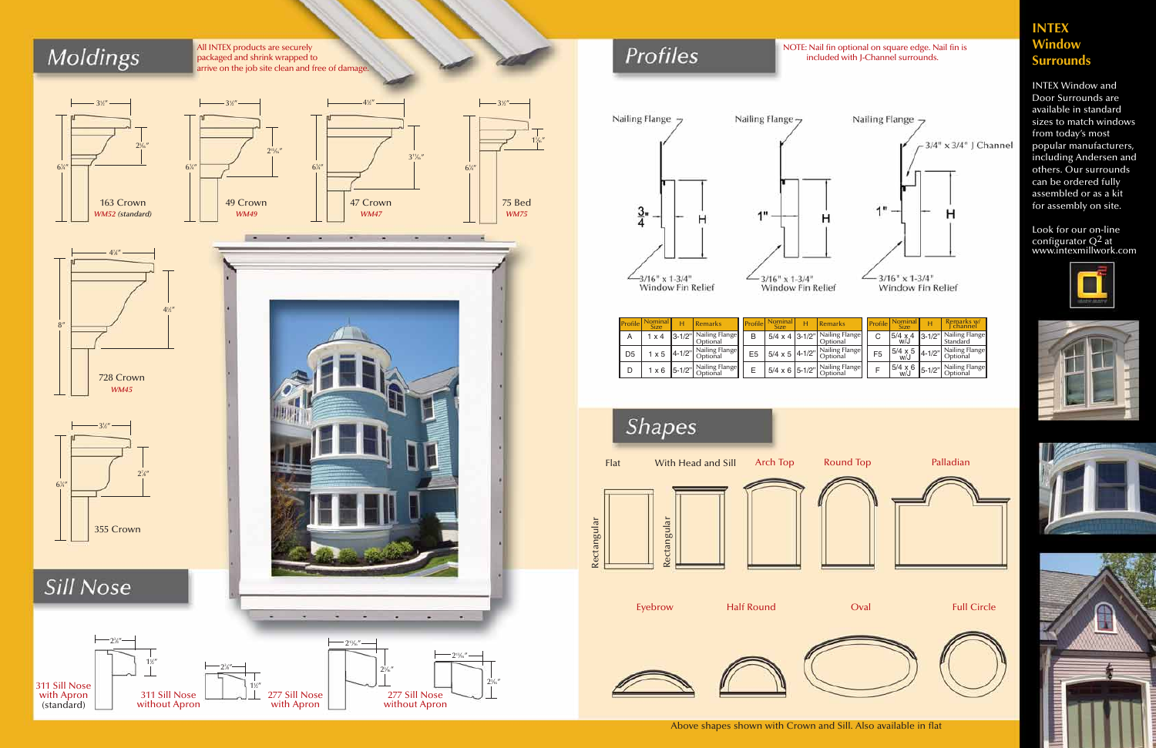# **Moldings**

All INTEX products are securely packaged and shrink wrapped to arrive on the job site clean and free of damage.

 $2^{15}/16''$ 















**Sill Nose** 



## Profiles

## **INTEX Window Surrounds**



 $1<sup>3</sup>$  $/16''$ 



INTEX Window and Door Surrounds are available in standard sizes to match windows from today's most popular manufacturers, including Andersen and others. Our surrounds can be ordered fully assembled or as a kit for assembly on site.

Look for our on-line configurator  $Q^2$  at www.intexmillwork.com









NOTE: Nail fin optional on square edge. Nail fin is included with J-Channel surrounds.





| Profile        | ominal<br><b>Size</b> | Remarks                                                | Profile        | <b>Size</b>                          | н | Remarks                    | <b>Profile</b> | <b>Size</b>                   |              | Remarks w<br>channel              |
|----------------|-----------------------|--------------------------------------------------------|----------------|--------------------------------------|---|----------------------------|----------------|-------------------------------|--------------|-----------------------------------|
| А              | x 4                   | 13-1/2" Nailing Flange<br>Optional                     | B              | $5/4 \times 4$ 3-1/2"                |   | Nailing Flange<br>Optional |                | $5/4 \times 4$<br>W/J         | $13 - 1/2"$  | Nailing Flange<br>Standard        |
| D <sub>5</sub> | $\times$ 5            | Nailing Flange<br>$4-1/2"$ $\bigcup_{\text{Optional}}$ | E <sub>5</sub> | $15/4 \times 5$ 4-1/2" $\frac{1}{6}$ |   | Nailing Flange<br>Optional | F <sub>5</sub> | $15/4 \times 5$ 4-1/2"<br>W/J |              | Nailing Flange<br><b>Optional</b> |
|                | $\times 6$            | Nailing Flange<br>$5-1/2"$ $\bigcap_{\text{Optional}}$ |                | $5/4 \times 6$ 5-1/2"                |   | Nailing Flange<br>Optional |                | $5/4 \times 6$<br>W/J         | $ 5 - 1/2" $ | Nailing Flange<br><b>Optional</b> |